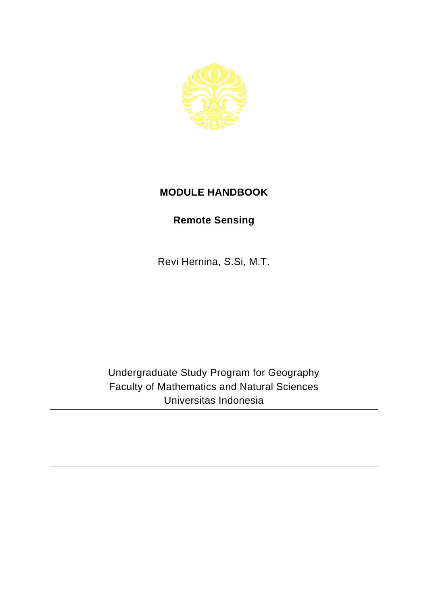

## **MODULE HANDBOOK**

## **Remote Sensing**

Revi Hernina, S.Si, M.T.

Undergraduate Study Program for Geography Faculty of Mathematics and Natural Sciences Universitas Indonesia